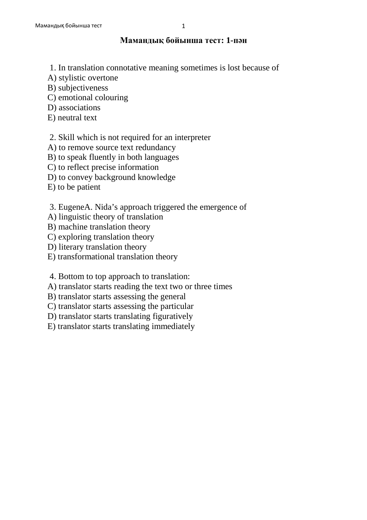## **Мамандық бойынша тест: 1-пән**

- 1. In translation connotative meaning sometimes is lost because of
- A) stylistic overtone
- B) subjectiveness
- C) emotional colouring
- D) associations
- E) neutral text

## 2. Skill which is not required for an interpreter

- A) to remove source text redundancy
- B) to speak fluently in both languages
- C) to reflect precise information
- D) to convey background knowledge
- E) to be patient
- 3. EugeneA. Nida's approach triggered the emergence of
- A) linguistic theory of translation
- B) machine translation theory
- C) exploring translation theory
- D) literary translation theory
- E) transformational translation theory
- 4. Bottom to top approach to translation:
- A) translator starts reading the text two or three times
- B) translator starts assessing the general
- C) translator starts assessing the particular
- D) translator starts translating figuratively
- E) translator starts translating immediately